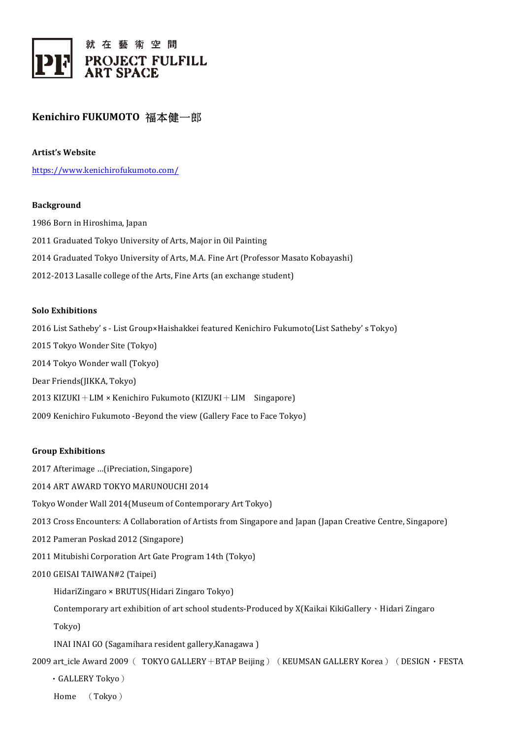

# **Kenichiro FUKUMOTO** 福本健一郎

**Artist's Website**

https://www.kenichirofukumoto.com/

### **Background**

1986 Born in Hiroshima, Japan 2011 Graduated Tokyo University of Arts, Major in Oil Painting 2014 Graduated Tokyo University of Arts, M.A. Fine Art (Professor Masato Kobayashi) 2012-2013 Lasalle college of the Arts, Fine Arts (an exchange student)

#### **Solo Exhibitions**

2016 List Satheby' s - List Group×Haishakkei featured Kenichiro Fukumoto(List Satheby' s Tokyo) 2015 Tokyo Wonder Site (Tokyo) 2014 Tokyo Wonder wall (Tokyo) Dear Friends(JIKKA, Tokyo) 2013 KIZUKI + LIM  $\times$  Kenichiro Fukumoto (KIZUKI + LIM Singapore) 2009 Kenichiro Fukumoto -Beyond the view (Gallery Face to Face Tokyo)

### **Group Exhibitions**

2017 Afterimage ...(iPreciation, Singapore)

2014 ART AWARD TOKYO MARUNOUCHI 2014

Tokyo Wonder Wall 2014(Museum of Contemporary Art Tokyo)

- 2013 Cross Encounters: A Collaboration of Artists from Singapore and Japan (Japan Creative Centre, Singapore)
- 2012 Pameran Poskad 2012 (Singapore)
- 2011 Mitubishi Corporation Art Gate Program 14th (Tokyo)

# 2010 GEISAI TAIWAN#2 (Taipei)

HidariZingaro × BRUTUS(Hidari Zingaro Tokyo)

Contemporary art exhibition of art school students-Produced by  $X(Kaikai KikiGallery \cdot Hidari Zingaro$ 

 Tokyo)

INAI INAI GO (Sagamihara resident gallery, Kanagawa)

2009 art\_icle Award 2009 ( TOKYO GALLERY + BTAP Beijing) (KEUMSAN GALLERY Korea) (DESIGN · FESTA

 ・GALLERY Tokyo)

 Home (Tokyo)